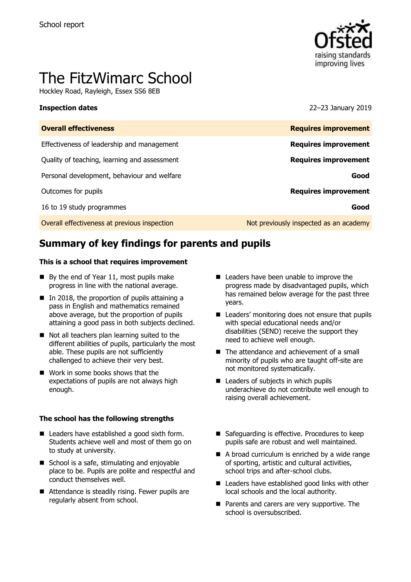

# The FitzWimarc School

Hockley Road, Rayleigh, Essex SS6 8EB

**Inspection dates** 22–23 January 2019

| <b>Overall effectiveness</b>                 | <b>Requires improvement</b>            |
|----------------------------------------------|----------------------------------------|
| Effectiveness of leadership and management   | <b>Requires improvement</b>            |
| Quality of teaching, learning and assessment | <b>Requires improvement</b>            |
| Personal development, behaviour and welfare  | Good                                   |
| Outcomes for pupils                          | <b>Requires improvement</b>            |
| 16 to 19 study programmes                    | Good                                   |
| Overall effectiveness at previous inspection | Not previously inspected as an academy |

# **Summary of key findings for parents and pupils**

### **This is a school that requires improvement**

- $\blacksquare$  By the end of Year 11, most pupils make progress in line with the national average.
- $\blacksquare$  In 2018, the proportion of pupils attaining a pass in English and mathematics remained above average, but the proportion of pupils attaining a good pass in both subjects declined.
- Not all teachers plan learning suited to the different abilities of pupils, particularly the most able. These pupils are not sufficiently challenged to achieve their very best.
- Work in some books shows that the expectations of pupils are not always high enough.

### **The school has the following strengths**

- Leaders have established a good sixth form. Students achieve well and most of them go on to study at university.
- School is a safe, stimulating and enjoyable place to be. Pupils are polite and respectful and conduct themselves well.
- Attendance is steadily rising. Fewer pupils are regularly absent from school.
- Leaders have been unable to improve the progress made by disadvantaged pupils, which has remained below average for the past three years.
- Leaders' monitoring does not ensure that pupils with special educational needs and/or disabilities (SEND) receive the support they need to achieve well enough.
- The attendance and achievement of a small minority of pupils who are taught off-site are not monitored systematically.
- Leaders of subjects in which pupils underachieve do not contribute well enough to raising overall achievement.
- Safeguarding is effective. Procedures to keep pupils safe are robust and well maintained.
- A broad curriculum is enriched by a wide range of sporting, artistic and cultural activities, school trips and after-school clubs.
- Leaders have established good links with other local schools and the local authority.
- **Parents and carers are very supportive. The** school is oversubscribed.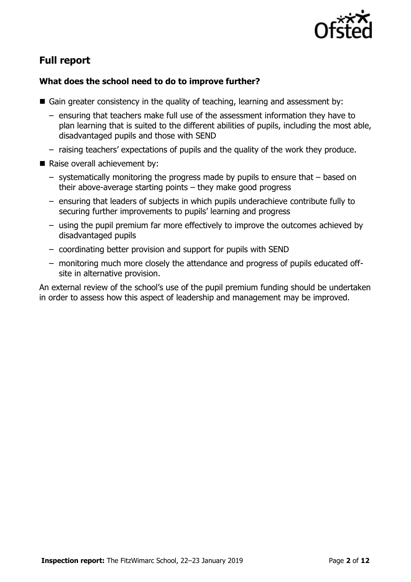

# **Full report**

# **What does the school need to do to improve further?**

- Gain greater consistency in the quality of teaching, learning and assessment by:
	- ensuring that teachers make full use of the assessment information they have to plan learning that is suited to the different abilities of pupils, including the most able, disadvantaged pupils and those with SEND
	- raising teachers' expectations of pupils and the quality of the work they produce.
- Raise overall achievement by:
	- systematically monitoring the progress made by pupils to ensure that based on their above-average starting points – they make good progress
	- ensuring that leaders of subjects in which pupils underachieve contribute fully to securing further improvements to pupils' learning and progress
	- using the pupil premium far more effectively to improve the outcomes achieved by disadvantaged pupils
	- coordinating better provision and support for pupils with SEND
	- monitoring much more closely the attendance and progress of pupils educated offsite in alternative provision.

An external review of the school's use of the pupil premium funding should be undertaken in order to assess how this aspect of leadership and management may be improved.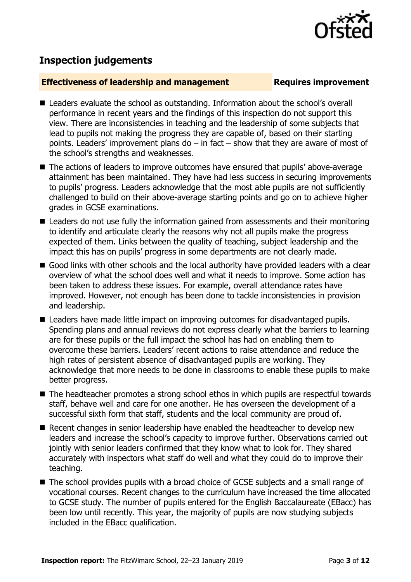

# **Inspection judgements**

# **Effectiveness of leadership and management Requires improvement**

- Leaders evaluate the school as outstanding. Information about the school's overall performance in recent years and the findings of this inspection do not support this view. There are inconsistencies in teaching and the leadership of some subjects that lead to pupils not making the progress they are capable of, based on their starting points. Leaders' improvement plans do – in fact – show that they are aware of most of the school's strengths and weaknesses.
- The actions of leaders to improve outcomes have ensured that pupils' above-average attainment has been maintained. They have had less success in securing improvements to pupils' progress. Leaders acknowledge that the most able pupils are not sufficiently challenged to build on their above-average starting points and go on to achieve higher grades in GCSE examinations.
- Leaders do not use fully the information gained from assessments and their monitoring to identify and articulate clearly the reasons why not all pupils make the progress expected of them. Links between the quality of teaching, subject leadership and the impact this has on pupils' progress in some departments are not clearly made.
- Good links with other schools and the local authority have provided leaders with a clear overview of what the school does well and what it needs to improve. Some action has been taken to address these issues. For example, overall attendance rates have improved. However, not enough has been done to tackle inconsistencies in provision and leadership.
- Leaders have made little impact on improving outcomes for disadvantaged pupils. Spending plans and annual reviews do not express clearly what the barriers to learning are for these pupils or the full impact the school has had on enabling them to overcome these barriers. Leaders' recent actions to raise attendance and reduce the high rates of persistent absence of disadvantaged pupils are working. They acknowledge that more needs to be done in classrooms to enable these pupils to make better progress.
- The headteacher promotes a strong school ethos in which pupils are respectful towards staff, behave well and care for one another. He has overseen the development of a successful sixth form that staff, students and the local community are proud of.
- Recent changes in senior leadership have enabled the headteacher to develop new leaders and increase the school's capacity to improve further. Observations carried out jointly with senior leaders confirmed that they know what to look for. They shared accurately with inspectors what staff do well and what they could do to improve their teaching.
- The school provides pupils with a broad choice of GCSE subjects and a small range of vocational courses. Recent changes to the curriculum have increased the time allocated to GCSE study. The number of pupils entered for the English Baccalaureate (EBacc) has been low until recently. This year, the majority of pupils are now studying subjects included in the EBacc qualification.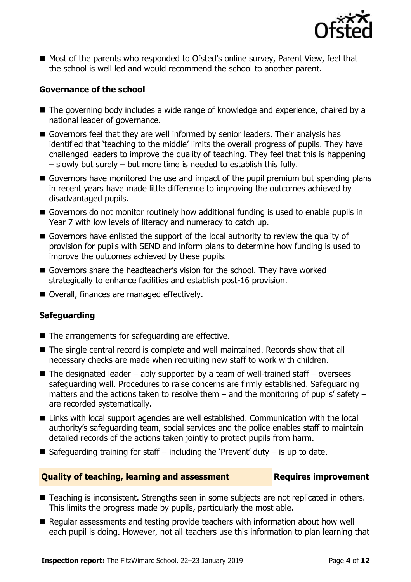

■ Most of the parents who responded to Ofsted's online survey, Parent View, feel that the school is well led and would recommend the school to another parent.

# **Governance of the school**

- The governing body includes a wide range of knowledge and experience, chaired by a national leader of governance.
- Governors feel that they are well informed by senior leaders. Their analysis has identified that 'teaching to the middle' limits the overall progress of pupils. They have challenged leaders to improve the quality of teaching. They feel that this is happening – slowly but surely – but more time is needed to establish this fully.
- Governors have monitored the use and impact of the pupil premium but spending plans in recent years have made little difference to improving the outcomes achieved by disadvantaged pupils.
- Governors do not monitor routinely how additional funding is used to enable pupils in Year 7 with low levels of literacy and numeracy to catch up.
- Governors have enlisted the support of the local authority to review the quality of provision for pupils with SEND and inform plans to determine how funding is used to improve the outcomes achieved by these pupils.
- Governors share the headteacher's vision for the school. They have worked strategically to enhance facilities and establish post-16 provision.
- Overall, finances are managed effectively.

# **Safeguarding**

- $\blacksquare$  The arrangements for safeguarding are effective.
- The single central record is complete and well maintained. Records show that all necessary checks are made when recruiting new staff to work with children.
- $\blacksquare$  The designated leader ably supported by a team of well-trained staff oversees safeguarding well. Procedures to raise concerns are firmly established. Safeguarding matters and the actions taken to resolve them  $-$  and the monitoring of pupils' safety  $$ are recorded systematically.
- Links with local support agencies are well established. Communication with the local authority's safeguarding team, social services and the police enables staff to maintain detailed records of the actions taken jointly to protect pupils from harm.
- Safeguarding training for staff including the 'Prevent' duty is up to date.

# **Quality of teaching, learning and assessment Requires improvement**

- Teaching is inconsistent. Strengths seen in some subjects are not replicated in others. This limits the progress made by pupils, particularly the most able.
- Regular assessments and testing provide teachers with information about how well each pupil is doing. However, not all teachers use this information to plan learning that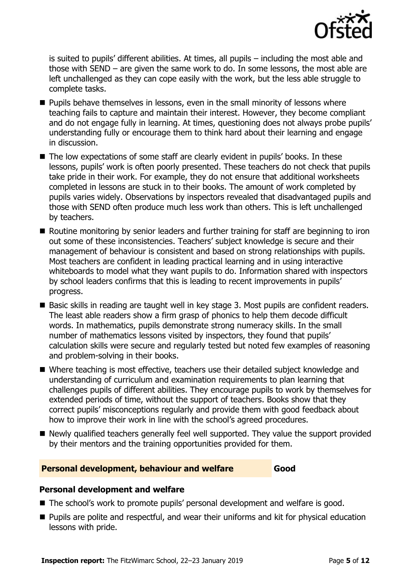

is suited to pupils' different abilities. At times, all pupils – including the most able and those with SEND – are given the same work to do. In some lessons, the most able are left unchallenged as they can cope easily with the work, but the less able struggle to complete tasks.

- $\blacksquare$  Pupils behave themselves in lessons, even in the small minority of lessons where teaching fails to capture and maintain their interest. However, they become compliant and do not engage fully in learning. At times, questioning does not always probe pupils' understanding fully or encourage them to think hard about their learning and engage in discussion.
- The low expectations of some staff are clearly evident in pupils' books. In these lessons, pupils' work is often poorly presented. These teachers do not check that pupils take pride in their work. For example, they do not ensure that additional worksheets completed in lessons are stuck in to their books. The amount of work completed by pupils varies widely. Observations by inspectors revealed that disadvantaged pupils and those with SEND often produce much less work than others. This is left unchallenged by teachers.
- Routine monitoring by senior leaders and further training for staff are beginning to iron out some of these inconsistencies. Teachers' subject knowledge is secure and their management of behaviour is consistent and based on strong relationships with pupils. Most teachers are confident in leading practical learning and in using interactive whiteboards to model what they want pupils to do. Information shared with inspectors by school leaders confirms that this is leading to recent improvements in pupils' progress.
- Basic skills in reading are taught well in key stage 3. Most pupils are confident readers. The least able readers show a firm grasp of phonics to help them decode difficult words. In mathematics, pupils demonstrate strong numeracy skills. In the small number of mathematics lessons visited by inspectors, they found that pupils' calculation skills were secure and regularly tested but noted few examples of reasoning and problem-solving in their books.
- Where teaching is most effective, teachers use their detailed subject knowledge and understanding of curriculum and examination requirements to plan learning that challenges pupils of different abilities. They encourage pupils to work by themselves for extended periods of time, without the support of teachers. Books show that they correct pupils' misconceptions regularly and provide them with good feedback about how to improve their work in line with the school's agreed procedures.
- Newly qualified teachers generally feel well supported. They value the support provided by their mentors and the training opportunities provided for them.

### **Personal development, behaviour and welfare Good**

### **Personal development and welfare**

- The school's work to promote pupils' personal development and welfare is good.
- **Pupils are polite and respectful, and wear their uniforms and kit for physical education** lessons with pride.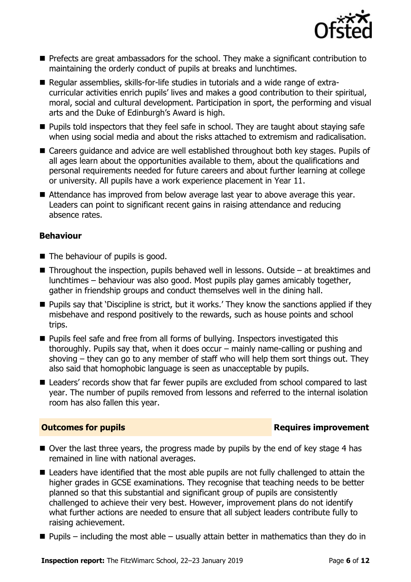

- **Prefects are great ambassadors for the school. They make a significant contribution to** maintaining the orderly conduct of pupils at breaks and lunchtimes.
- Regular assemblies, skills-for-life studies in tutorials and a wide range of extracurricular activities enrich pupils' lives and makes a good contribution to their spiritual, moral, social and cultural development. Participation in sport, the performing and visual arts and the Duke of Edinburgh's Award is high.
- **Pupils told inspectors that they feel safe in school. They are taught about staying safe** when using social media and about the risks attached to extremism and radicalisation.
- Careers guidance and advice are well established throughout both key stages. Pupils of all ages learn about the opportunities available to them, about the qualifications and personal requirements needed for future careers and about further learning at college or university. All pupils have a work experience placement in Year 11.
- Attendance has improved from below average last year to above average this year. Leaders can point to significant recent gains in raising attendance and reducing absence rates.

# **Behaviour**

- The behaviour of pupils is good.
- $\blacksquare$  Throughout the inspection, pupils behaved well in lessons. Outside at breaktimes and lunchtimes – behaviour was also good. Most pupils play games amicably together, gather in friendship groups and conduct themselves well in the dining hall.
- **Pupils say that 'Discipline is strict, but it works.' They know the sanctions applied if they** misbehave and respond positively to the rewards, such as house points and school trips.
- **Pupils feel safe and free from all forms of bullying. Inspectors investigated this** thoroughly. Pupils say that, when it does occur – mainly name-calling or pushing and shoving – they can go to any member of staff who will help them sort things out. They also said that homophobic language is seen as unacceptable by pupils.
- Leaders' records show that far fewer pupils are excluded from school compared to last year. The number of pupils removed from lessons and referred to the internal isolation room has also fallen this year.

# **Outcomes for pupils Requires improvement**

- $\blacksquare$  Over the last three years, the progress made by pupils by the end of key stage 4 has remained in line with national averages.
- Leaders have identified that the most able pupils are not fully challenged to attain the higher grades in GCSE examinations. They recognise that teaching needs to be better planned so that this substantial and significant group of pupils are consistently challenged to achieve their very best. However, improvement plans do not identify what further actions are needed to ensure that all subject leaders contribute fully to raising achievement.
- $\blacksquare$  Pupils including the most able usually attain better in mathematics than they do in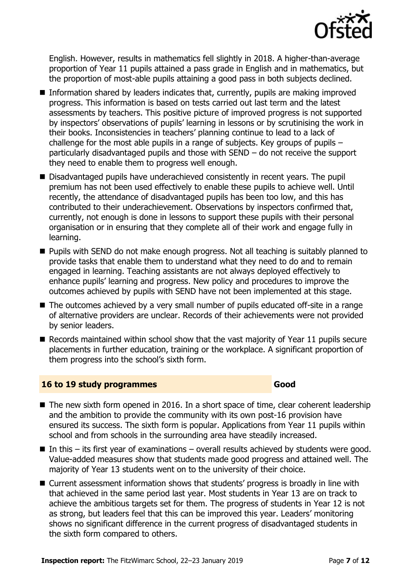

English. However, results in mathematics fell slightly in 2018. A higher-than-average proportion of Year 11 pupils attained a pass grade in English and in mathematics, but the proportion of most-able pupils attaining a good pass in both subjects declined.

- Information shared by leaders indicates that, currently, pupils are making improved progress. This information is based on tests carried out last term and the latest assessments by teachers. This positive picture of improved progress is not supported by inspectors' observations of pupils' learning in lessons or by scrutinising the work in their books. Inconsistencies in teachers' planning continue to lead to a lack of challenge for the most able pupils in a range of subjects. Key groups of pupils – particularly disadvantaged pupils and those with SEND – do not receive the support they need to enable them to progress well enough.
- Disadvantaged pupils have underachieved consistently in recent years. The pupil premium has not been used effectively to enable these pupils to achieve well. Until recently, the attendance of disadvantaged pupils has been too low, and this has contributed to their underachievement. Observations by inspectors confirmed that, currently, not enough is done in lessons to support these pupils with their personal organisation or in ensuring that they complete all of their work and engage fully in learning.
- **Pupils with SEND do not make enough progress. Not all teaching is suitably planned to** provide tasks that enable them to understand what they need to do and to remain engaged in learning. Teaching assistants are not always deployed effectively to enhance pupils' learning and progress. New policy and procedures to improve the outcomes achieved by pupils with SEND have not been implemented at this stage.
- The outcomes achieved by a very small number of pupils educated off-site in a range of alternative providers are unclear. Records of their achievements were not provided by senior leaders.
- Records maintained within school show that the vast majority of Year 11 pupils secure placements in further education, training or the workplace. A significant proportion of them progress into the school's sixth form.

### **16 to 19 study programmes Good**

- The new sixth form opened in 2016. In a short space of time, clear coherent leadership and the ambition to provide the community with its own post-16 provision have ensured its success. The sixth form is popular. Applications from Year 11 pupils within school and from schools in the surrounding area have steadily increased.
- In this its first year of examinations overall results achieved by students were good. Value-added measures show that students made good progress and attained well. The majority of Year 13 students went on to the university of their choice.
- Current assessment information shows that students' progress is broadly in line with that achieved in the same period last year. Most students in Year 13 are on track to achieve the ambitious targets set for them. The progress of students in Year 12 is not as strong, but leaders feel that this can be improved this year. Leaders' monitoring shows no significant difference in the current progress of disadvantaged students in the sixth form compared to others.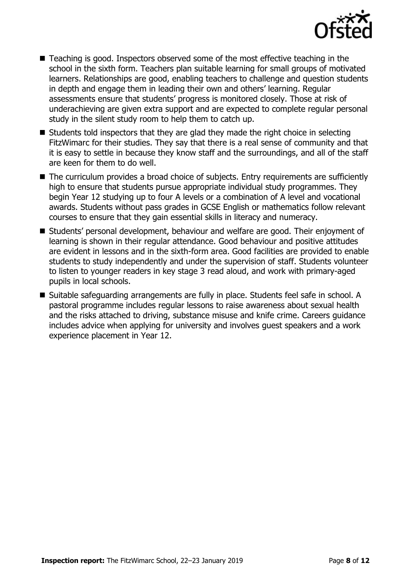

- Teaching is good. Inspectors observed some of the most effective teaching in the school in the sixth form. Teachers plan suitable learning for small groups of motivated learners. Relationships are good, enabling teachers to challenge and question students in depth and engage them in leading their own and others' learning. Regular assessments ensure that students' progress is monitored closely. Those at risk of underachieving are given extra support and are expected to complete regular personal study in the silent study room to help them to catch up.
- $\blacksquare$  Students told inspectors that they are glad they made the right choice in selecting FitzWimarc for their studies. They say that there is a real sense of community and that it is easy to settle in because they know staff and the surroundings, and all of the staff are keen for them to do well.
- The curriculum provides a broad choice of subjects. Entry requirements are sufficiently high to ensure that students pursue appropriate individual study programmes. They begin Year 12 studying up to four A levels or a combination of A level and vocational awards. Students without pass grades in GCSE English or mathematics follow relevant courses to ensure that they gain essential skills in literacy and numeracy.
- Students' personal development, behaviour and welfare are good. Their enjoyment of learning is shown in their regular attendance. Good behaviour and positive attitudes are evident in lessons and in the sixth-form area. Good facilities are provided to enable students to study independently and under the supervision of staff. Students volunteer to listen to younger readers in key stage 3 read aloud, and work with primary-aged pupils in local schools.
- Suitable safeguarding arrangements are fully in place. Students feel safe in school. A pastoral programme includes regular lessons to raise awareness about sexual health and the risks attached to driving, substance misuse and knife crime. Careers guidance includes advice when applying for university and involves guest speakers and a work experience placement in Year 12.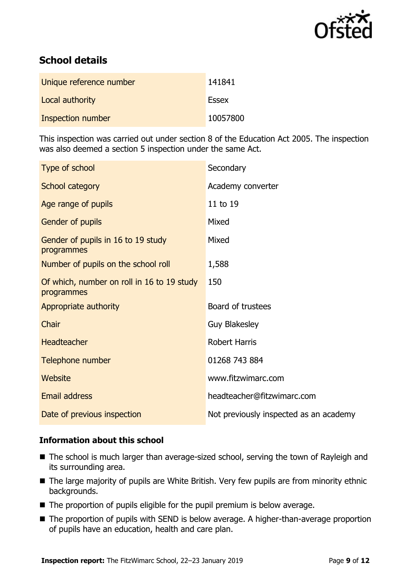

# **School details**

| Unique reference number | 141841       |
|-------------------------|--------------|
| Local authority         | <b>Essex</b> |
| Inspection number       | 10057800     |

This inspection was carried out under section 8 of the Education Act 2005. The inspection was also deemed a section 5 inspection under the same Act.

| Type of school                                           | Secondary                              |
|----------------------------------------------------------|----------------------------------------|
| School category                                          | Academy converter                      |
| Age range of pupils                                      | 11 to 19                               |
| Gender of pupils                                         | Mixed                                  |
| Gender of pupils in 16 to 19 study<br>programmes         | Mixed                                  |
| Number of pupils on the school roll                      | 1,588                                  |
| Of which, number on roll in 16 to 19 study<br>programmes | 150                                    |
| Appropriate authority                                    | Board of trustees                      |
| Chair                                                    | <b>Guy Blakesley</b>                   |
| <b>Headteacher</b>                                       | <b>Robert Harris</b>                   |
| Telephone number                                         | 01268 743 884                          |
| Website                                                  | www.fitzwimarc.com                     |
| Email address                                            | headteacher@fitzwimarc.com             |
| Date of previous inspection                              | Not previously inspected as an academy |

# **Information about this school**

- The school is much larger than average-sized school, serving the town of Rayleigh and its surrounding area.
- The large majority of pupils are White British. Very few pupils are from minority ethnic backgrounds.
- The proportion of pupils eligible for the pupil premium is below average.
- The proportion of pupils with SEND is below average. A higher-than-average proportion of pupils have an education, health and care plan.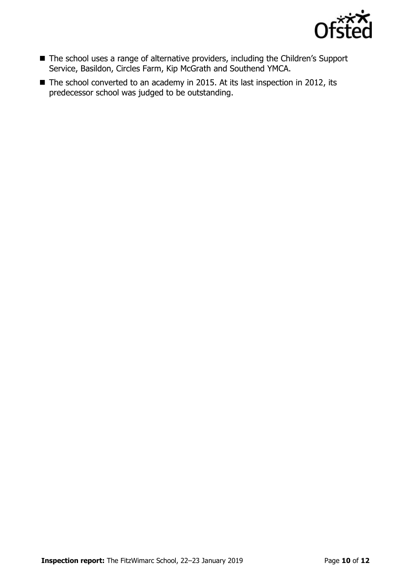

- The school uses a range of alternative providers, including the Children's Support Service, Basildon, Circles Farm, Kip McGrath and Southend YMCA.
- The school converted to an academy in 2015. At its last inspection in 2012, its predecessor school was judged to be outstanding.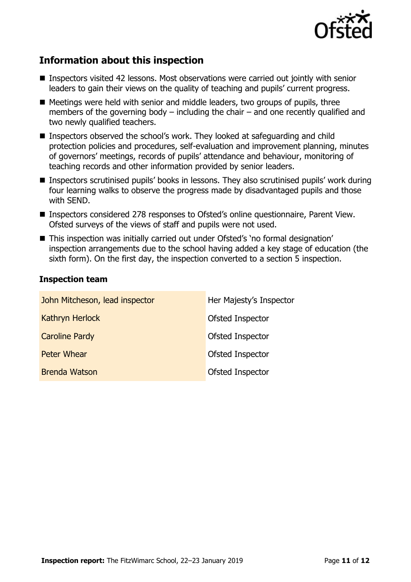

# **Information about this inspection**

- Inspectors visited 42 lessons. Most observations were carried out jointly with senior leaders to gain their views on the quality of teaching and pupils' current progress.
- $\blacksquare$  Meetings were held with senior and middle leaders, two groups of pupils, three members of the governing body  $-$  including the chair  $-$  and one recently qualified and two newly qualified teachers.
- Inspectors observed the school's work. They looked at safeguarding and child protection policies and procedures, self-evaluation and improvement planning, minutes of governors' meetings, records of pupils' attendance and behaviour, monitoring of teaching records and other information provided by senior leaders.
- Inspectors scrutinised pupils' books in lessons. They also scrutinised pupils' work during four learning walks to observe the progress made by disadvantaged pupils and those with SEND.
- Inspectors considered 278 responses to Ofsted's online questionnaire, Parent View. Ofsted surveys of the views of staff and pupils were not used.
- This inspection was initially carried out under Ofsted's 'no formal designation' inspection arrangements due to the school having added a key stage of education (the sixth form). On the first day, the inspection converted to a section 5 inspection.

# **Inspection team**

| John Mitcheson, lead inspector | Her Majesty's Inspector |
|--------------------------------|-------------------------|
| <b>Kathryn Herlock</b>         | Ofsted Inspector        |
| <b>Caroline Pardy</b>          | Ofsted Inspector        |
| Peter Whear                    | Ofsted Inspector        |
| <b>Brenda Watson</b>           | Ofsted Inspector        |